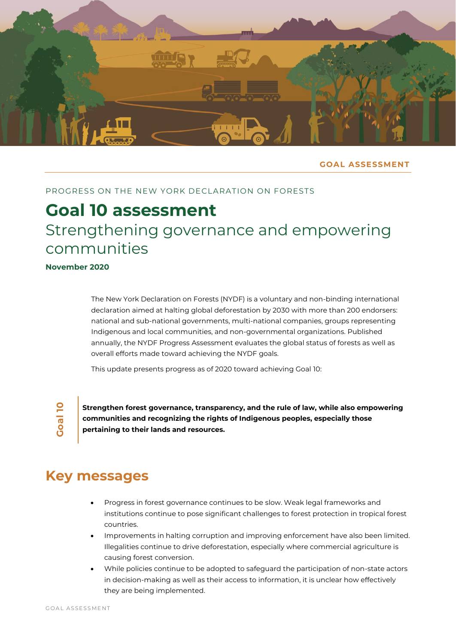

#### **GOAL ASSESSMENT**

#### PROGRESS ON THE NEW YORK DECLARATION ON FORESTS

# **Goal 10 assessment** Strengthening governance and empowering communities

**November 2020**

The New York Declaration on Forests (NYDF) is a voluntary and non-binding international declaration aimed at halting global deforestation by 2030 with more than 200 endorsers: national and sub-national governments, multi-national companies, groups representing Indigenous and local communities, and non-governmental organizations. Published annually, the NYDF Progress Assessment evaluates the global status of forests as well as overall efforts made toward achieving the NYDF goals.

This update presents progress as of 2020 toward achieving Goal 10:

**Goal 1 0**

**Strengthen forest governance, transparency, and the rule of law, while also empowering communities and recognizing the rights of Indigenous peoples, especially those pertaining to their lands and resources.**

### **Key messages**

- Progress in forest governance continues to be slow. Weak legal frameworks and institutions continue to pose significant challenges to forest protection in tropical forest countries.
- Improvements in halting corruption and improving enforcement have also been limited. Illegalities continue to drive deforestation, especially where commercial agriculture is causing forest conversion.
- While policies continue to be adopted to safeguard the participation of non-state actors in decision-making as well as their access to information, it is unclear how effectively they are being implemented.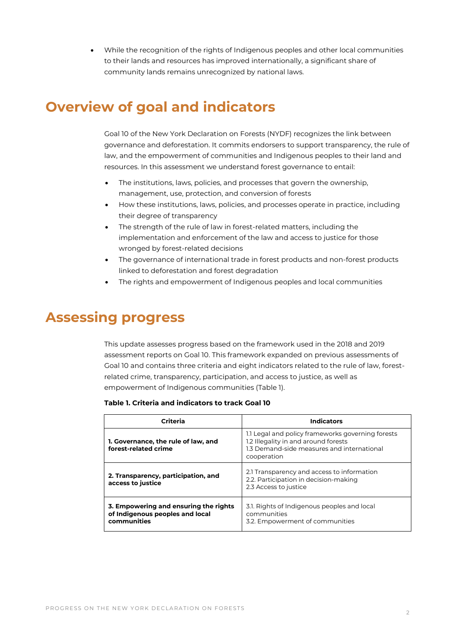• While the recognition of the rights of Indigenous peoples and other local communities to their lands and resources has improved internationally, a significant share of community lands remains unrecognized by national laws.

### **Overview of goal and indicators**

Goal 10 of the New York Declaration on Forests (NYDF) recognizes the link between governance and deforestation. It commits endorsers to support transparency, the rule of law, and the empowerment of communities and Indigenous peoples to their land and resources. In this assessment we understand forest governance to entail:

- The institutions, laws, policies, and processes that govern the ownership, management, use, protection, and conversion of forests
- How these institutions, laws, policies, and processes operate in practice, including their degree of transparency
- The strength of the rule of law in forest-related matters, including the implementation and enforcement of the law and access to justice for those wronged by forest-related decisions
- The governance of international trade in forest products and non-forest products linked to deforestation and forest degradation
- The rights and empowerment of Indigenous peoples and local communities

### **Assessing progress**

This update assesses progress based on the framework used in the 2018 and 2019 assessment reports on Goal 10. This framework expanded on previous assessments of Goal 10 and contains three criteria and eight indicators related to the rule of law, forestrelated crime, transparency, participation, and access to justice, as well as empowerment of Indigenous communities (Table 1).

#### **Table 1. Criteria and indicators to track Goal 10**

| Criteria                                                                                | <b>Indicators</b>                                                                                                                                      |
|-----------------------------------------------------------------------------------------|--------------------------------------------------------------------------------------------------------------------------------------------------------|
| 1. Governance, the rule of law, and<br>forest-related crime                             | 1.1 Legal and policy frameworks governing forests<br>1.2 Illegality in and around forests<br>1.3 Demand-side measures and international<br>cooperation |
| 2. Transparency, participation, and<br>access to justice                                | 2.1 Transparency and access to information<br>2.2. Participation in decision-making<br>2.3 Access to justice                                           |
| 3. Empowering and ensuring the rights<br>of Indigenous peoples and local<br>communities | 3.1. Rights of Indigenous peoples and local<br>communities<br>3.2. Empowerment of communities                                                          |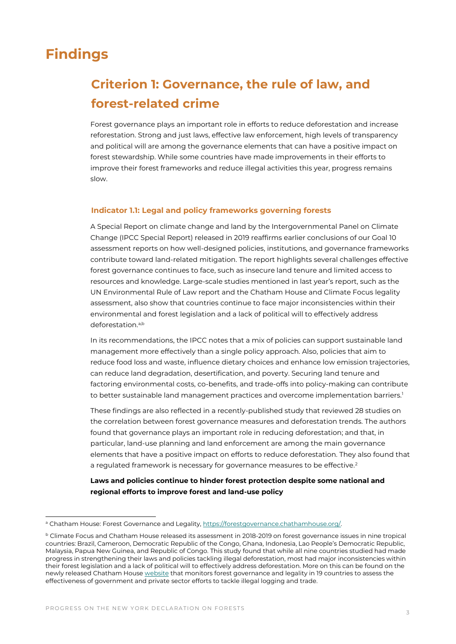### **Findings**

### **Criterion 1: Governance, the rule of law, and forest-related crime**

Forest governance plays an important role in efforts to reduce deforestation and increase reforestation. Strong and just laws, effective law enforcement, high levels of transparency and political will are among the governance elements that can have a positive impact on forest stewardship. While some countries have made improvements in their efforts to improve their forest frameworks and reduce illegal activities this year, progress remains slow.

#### **Indicator 1.1: Legal and policy frameworks governing forests**

A Special Report on climate change and land by the Intergovernmental Panel on Climate Change (IPCC Special Report) released in 2019 reaffirms earlier conclusions of our Goal 10 assessment reports on how well-designed policies, institutions, and governance frameworks contribute toward land-related mitigation. The report highlights several challenges effective forest governance continues to face, such as insecure land tenure and limited access to resources and knowledge. Large-scale studies mentioned in last year's report, such as the UN Environmental Rule of Law report and the Chatham House and Climate Focus legality assessment, also show that countries continue to face major inconsistencies within their environmental and forest legislation and a lack of political will to effectively address deforestation.<sup>a,b</sup>

In its recommendations, the IPCC notes that a mix of policies can support sustainable land management more effectively than a single policy approach. Also, policies that aim to reduce food loss and waste, influence dietary choices and enhance low emission trajectories, can reduce land degradation, desertification, and poverty. Securing land tenure and factoring environmental costs, co-benefits, and trade-offs into policy-making can contribute to better sustainable land management practices and overcome implementation barriers.<sup>1</sup>

These findings are also reflected in a recently-published study that reviewed 28 studies on the correlation between forest governance measures and deforestation trends. The authors found that governance plays an important role in reducing deforestation; and that, in particular, land-use planning and land enforcement are among the main governance elements that have a positive impact on efforts to reduce deforestation. They also found that a regulated framework is necessary for governance measures to be effective.<sup>2</sup>

**Laws and policies continue to hinder forest protection despite some national and regional efforts to improve forest and land-use policy**

<sup>&</sup>lt;sup>a</sup> Chatham House: Forest Governance and Legality, https://forestgovernance.chathamhouse.org/.

<sup>b</sup> Climate Focus and Chatham House released its assessment in 2018-2019 on forest governance issues in nine tropical countries: Brazil, Cameroon, Democratic Republic of the Congo, Ghana, Indonesia, Lao People's Democratic Republic, Malaysia, Papua New Guinea, and Republic of Congo. This study found that while all nine countries studied had made progress in strengthening their laws and policies tackling illegal deforestation, most had major inconsistencies within their forest legislation and a lack of political will to effectively address deforestation. More on this can be found on the newly released Chatham House [website](https://forestgovernance.chathamhouse.org/publications/forest-governance-and-deforestation-addressing-the-disparity) that monitors forest governance and legality in 19 countries to assess the effectiveness of government and private sector efforts to tackle illegal logging and trade.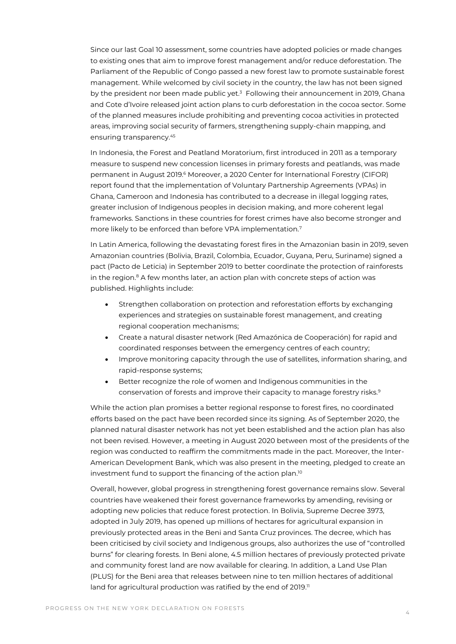Since our last Goal 10 assessment, some countries have adopted policies or made changes to existing ones that aim to improve forest management and/or reduce deforestation. The Parliament of the Republic of Congo passed a new forest law to promote sustainable forest management. While welcomed by civil society in the country, the law has not been signed by the president nor been made public yet.<sup>3</sup> Following their announcement in 2019, Ghana and Cote d'Ivoire released joint action plans to curb deforestation in the cocoa sector. Some of the planned measures include prohibiting and preventing cocoa activities in protected areas, improving social security of farmers, strengthening supply-chain mapping, and ensuring transparency.<sup>45</sup>

In Indonesia, the Forest and Peatland Moratorium, first introduced in 2011 as a temporary measure to suspend new concession licenses in primary forests and peatlands, was made permanent in August 2019.<sup>6</sup> Moreover, a 2020 Center for International Forestry (CIFOR) report found that the implementation of Voluntary Partnership Agreements (VPAs) in Ghana, Cameroon and Indonesia has contributed to a decrease in illegal logging rates, greater inclusion of Indigenous peoples in decision making, and more coherent legal frameworks. Sanctions in these countries for forest crimes have also become stronger and more likely to be enforced than before VPA implementation.<sup>7</sup>

In Latin America, following the devastating forest fires in the Amazonian basin in 2019, seven Amazonian countries (Bolivia, Brazil, Colombia, Ecuador, Guyana, Peru, Suriname) signed a pact (Pacto de Leticia) in September 2019 to better coordinate the protection of rainforests in the region. $8$  A few months later, an action plan with concrete steps of action was published. Highlights include:

- Strengthen collaboration on protection and reforestation efforts by exchanging experiences and strategies on sustainable forest management, and creating regional cooperation mechanisms;
- Create a natural disaster network (Red Amazónica de Cooperación) for rapid and coordinated responses between the emergency centres of each country;
- Improve monitoring capacity through the use of satellites, information sharing, and rapid-response systems;
- Better recognize the role of women and Indigenous communities in the conservation of forests and improve their capacity to manage forestry risks.<sup>9</sup>

While the action plan promises a better regional response to forest fires, no coordinated efforts based on the pact have been recorded since its signing. As of September 2020, the planned natural disaster network has not yet been established and the action plan has also not been revised. However, a meeting in August 2020 between most of the presidents of the region was conducted to reaffirm the commitments made in the pact. Moreover, the Inter-American Development Bank, which was also present in the meeting, pledged to create an investment fund to support the financing of the action plan.<sup>10</sup>

Overall, however, global progress in strengthening forest governance remains slow. Several countries have weakened their forest governance frameworks by amending, revising or adopting new policies that reduce forest protection. In Bolivia, Supreme Decree 3973, adopted in July 2019, has opened up millions of hectares for agricultural expansion in previously protected areas in the Beni and Santa Cruz provinces. The decree, which has been criticised by civil society and Indigenous groups, also authorizes the use of "controlled burns" for clearing forests. In Beni alone, 4.5 million hectares of previously protected private and community forest land are now available for clearing. In addition, a Land Use Plan (PLUS) for the Beni area that releases between nine to ten million hectares of additional land for agricultural production was ratified by the end of 2019.<sup>11</sup>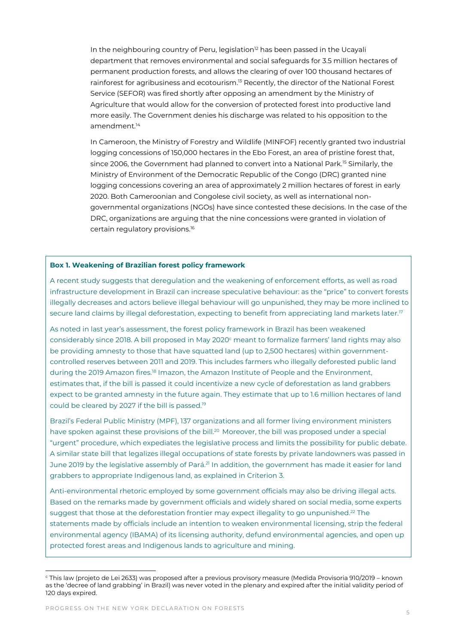In the neighbouring country of Peru, legislation<sup>12</sup> has been passed in the Ucayali department that removes environmental and social safeguards for 3.5 million hectares of permanent production forests, and allows the clearing of over 100 thousand hectares of rainforest for agribusiness and ecotourism.<sup>13</sup> Recently, the director of the National Forest Service (SEFOR) was fired shortly after opposing an amendment by the Ministry of Agriculture that would allow for the conversion of protected forest into productive land more easily. The Government denies his discharge was related to his opposition to the amendment.<sup>14</sup>

In Cameroon, the Ministry of Forestry and Wildlife (MINFOF) recently granted two industrial logging concessions of 150,000 hectares in the Ebo Forest, an area of pristine forest that, since 2006, the Government had planned to convert into a National Park.<sup>15</sup> Similarly, the Ministry of Environment of the Democratic Republic of the Congo (DRC) granted nine logging concessions covering an area of approximately 2 million hectares of forest in early 2020. Both Cameroonian and Congolese civil society, as well as international nongovernmental organizations (NGOs) have since contested these decisions. In the case of the DRC, organizations are arguing that the nine concessions were granted in violation of certain regulatory provisions.<sup>16</sup>

#### **Box 1. Weakening of Brazilian forest policy framework**

A recent study suggests that deregulation and the weakening of enforcement efforts, as well as road infrastructure development in Brazil can increase speculative behaviour: as the "price" to convert forests illegally decreases and actors believe illegal behaviour will go unpunished, they may be more inclined to secure land claims by illegal deforestation, expecting to benefit from appreciating land markets later.<sup>17</sup>

As noted in last year's assessment, the forest policy framework in Brazil has been weakened considerably since 2018. A bill proposed in May 2020<sup>c</sup> meant to formalize farmers' land rights may also be providing amnesty to those that have squatted land (up to 2,500 hectares) within governmentcontrolled reserves between 2011 and 2019. This includes farmers who illegally deforested public land during the 2019 Amazon fires.<sup>18</sup> Imazon, the Amazon Institute of People and the Environment, estimates that, if the bill is passed it could incentivize a new cycle of deforestation as land grabbers expect to be granted amnesty in the future again. They estimate that up to 1.6 million hectares of land could be cleared by 2027 if the bill is passed.<sup>19</sup>

Brazil's Federal Public Ministry (MPF), 137 organizations and all former living environment ministers have spoken against these provisions of the bill.<sup>20</sup> Moreover, the bill was proposed under a special "urgent" procedure, which expediates the legislative process and limits the possibility for public debate. A similar state bill that legalizes illegal occupations of state forests by private landowners was passed in June 2019 by the legislative assembly of Pará.<sup>21</sup> In addition, the government has made it easier for land grabbers to appropriate Indigenous land, as explained in Criterion 3.

Anti-environmental rhetoric employed by some government officials may also be driving illegal acts. Based on the remarks made by government officials and widely shared on social media, some experts suggest that those at the deforestation frontier may expect illegality to go unpunished. $^{22}$  The statements made by officials include an intention to weaken environmental licensing, strip the federal environmental agency (IBAMA) of its licensing authority, defund environmental agencies, and open up protected forest areas and Indigenous lands to agriculture and mining.

<sup>c</sup> This law (projeto de Lei 2633) was proposed after a previous provisory measure (Medida Provisoria 910/2019 – known as the 'decree of land grabbing' in Brazil) was never voted in the plenary and expired after the initial validity period of 120 days expired.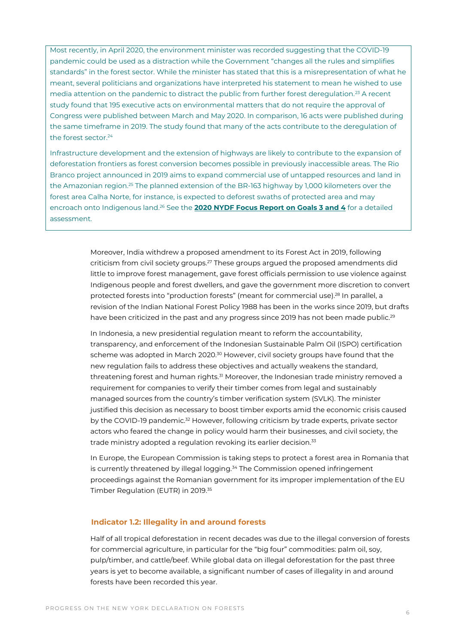Most recently, in April 2020, the environment minister was recorded suggesting that the COVID-19 pandemic could be used as a distraction while the Government "changes all the rules and simplifies standards" in the forest sector. While the minister has stated that this is a misrepresentation of what he meant, several politicians and organizations have interpreted his statement to mean he wished to use media attention on the pandemic to distract the public from further forest deregulation.<sup>23</sup> A recent study found that 195 executive acts on environmental matters that do not require the approval of Congress were published between March and May 2020. In comparison, 16 acts were published during the same timeframe in 2019. The study found that many of the acts contribute to the deregulation of the forest sector.<sup>24</sup>

Infrastructure development and the extension of highways are likely to contribute to the expansion of deforestation frontiers as forest conversion becomes possible in previously inaccessible areas. The Rio Branco project announced in 2019 aims to expand commercial use of untapped resources and land in the Amazonian region.<sup>25</sup> The planned extension of the BR-163 highway by 1,000 kilometers over the forest area Calha Norte, for instance, is expected to deforest swaths of protected area and may encroach onto Indigenous land.<sup>26</sup> See the **[2020 NYDF Focus Report on Goals 3 and 4](https://forestdeclaration.org/images/uploads/resource/2020NYDFReport.pdf)** for a detailed assessment.

> Moreover, India withdrew a proposed amendment to its Forest Act in 2019, following criticism from civil society groups.<sup>27</sup> These groups argued the proposed amendments did little to improve forest management, gave forest officials permission to use violence against Indigenous people and forest dwellers, and gave the government more discretion to convert protected forests into "production forests" (meant for commercial use).<sup>28</sup> In parallel, a revision of the Indian National Forest Policy 1988 has been in the works since 2019, but drafts have been criticized in the past and any progress since 2019 has not been made public.<sup>29</sup>

In Indonesia, a new presidential regulation meant to reform the accountability, transparency, and enforcement of the Indonesian Sustainable Palm Oil (ISPO) certification scheme was adopted in March 2020.<sup>30</sup> However, civil society groups have found that the new regulation fails to address these objectives and actually weakens the standard, threatening forest and human rights.<sup>31</sup> Moreover, the Indonesian trade ministry removed a requirement for companies to verify their timber comes from legal and sustainably managed sources from the country's timber verification system (SVLK). The minister justified this decision as necessary to boost timber exports amid the economic crisis caused by the COVID-19 pandemic.<sup>32</sup> However, following criticism by trade experts, private sector actors who feared the change in policy would harm their businesses, and civil society, the trade ministry adopted a regulation revoking its earlier decision.<sup>33</sup>

In Europe, the European Commission is taking steps to protect a forest area in Romania that is currently threatened by illegal logging.<sup>34</sup> The Commission opened infringement proceedings against the Romanian government for its improper implementation of the EU Timber Regulation (EUTR) in 2019.<sup>35</sup>

#### **Indicator 1.2: Illegality in and around forests**

Half of all tropical deforestation in recent decades was due to the illegal conversion of forests for commercial agriculture, in particular for the "big four" commodities: palm oil, soy, pulp/timber, and cattle/beef. While global data on illegal deforestation for the past three years is yet to become available, a significant number of cases of illegality in and around forests have been recorded this year.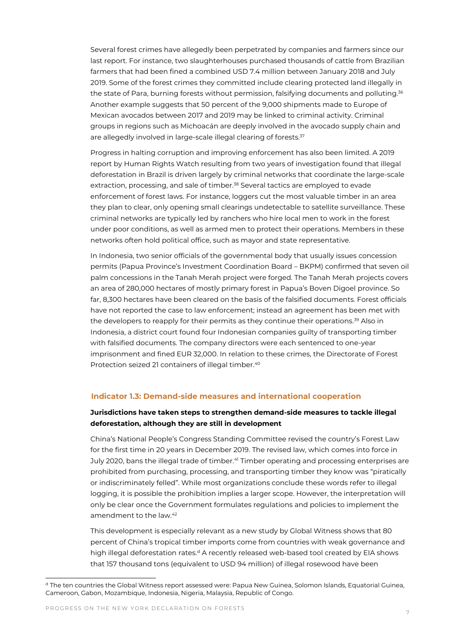Several forest crimes have allegedly been perpetrated by companies and farmers since our last report. For instance, two slaughterhouses purchased thousands of cattle from Brazilian farmers that had been fined a combined USD 7.4 million between January 2018 and July 2019. Some of the forest crimes they committed include clearing protected land illegally in the state of Para, burning forests without permission, falsifying documents and polluting.<sup>36</sup> Another example suggests that 50 percent of the 9,000 shipments made to Europe of Mexican avocados between 2017 and 2019 may be linked to criminal activity. Criminal groups in regions such as Michoacán are deeply involved in the avocado supply chain and are allegedly involved in large-scale illegal clearing of forests.<sup>37</sup>

Progress in halting corruption and improving enforcement has also been limited. A 2019 report by Human Rights Watch resulting from two years of investigation found that illegal deforestation in Brazil is driven largely by criminal networks that coordinate the large-scale extraction, processing, and sale of timber.<sup>38</sup> Several tactics are employed to evade enforcement of forest laws. For instance, loggers cut the most valuable timber in an area they plan to clear, only opening small clearings undetectable to satellite surveillance. These criminal networks are typically led by ranchers who hire local men to work in the forest under poor conditions, as well as armed men to protect their operations. Members in these networks often hold political office, such as mayor and state representative.

In Indonesia, two senior officials of the governmental body that usually issues concession permits (Papua Province's Investment Coordination Board – BKPM) confirmed that seven oil palm concessions in the Tanah Merah project were forged. The Tanah Merah projects covers an area of 280,000 hectares of mostly primary forest in Papua's Boven Digoel province. So far, 8,300 hectares have been cleared on the basis of the falsified documents. Forest officials have not reported the case to law enforcement; instead an agreement has been met with the developers to reapply for their permits as they continue their operations.<sup>39</sup> Also in Indonesia, a district court found four Indonesian companies guilty of transporting timber with falsified documents. The company directors were each sentenced to one-year imprisonment and fined EUR 32,000. In relation to these crimes, the Directorate of Forest Protection seized 21 containers of illegal timber.<sup>40</sup>

#### **Indicator 1.3: Demand-side measures and international cooperation**

#### **Jurisdictions have taken steps to strengthen demand-side measures to tackle illegal deforestation, although they are still in development**

China's National People's Congress Standing Committee revised the country's Forest Law for the first time in 20 years in December 2019. The revised law, which comes into force in July 2020, bans the illegal trade of timber.<sup>41</sup> Timber operating and processing enterprises are prohibited from purchasing, processing, and transporting timber they know was "piratically or indiscriminately felled". While most organizations conclude these words refer to illegal logging, it is possible the prohibition implies a larger scope. However, the interpretation will only be clear once the Government formulates regulations and policies to implement the amendment to the law.<sup>42</sup>

This development is especially relevant as a new study by Global Witness shows that 80 percent of China's tropical timber imports come from countries with weak governance and high illegal deforestation rates.<sup>d</sup> A recently released web-based tool created by EIA shows that 157 thousand tons (equivalent to USD 94 million) of illegal rosewood have been

<sup>d</sup> The ten countries the Global Witness report assessed were: Papua New Guinea, Solomon Islands, Equatorial Guinea, Cameroon, Gabon, Mozambique, Indonesia, Nigeria, Malaysia, Republic of Congo.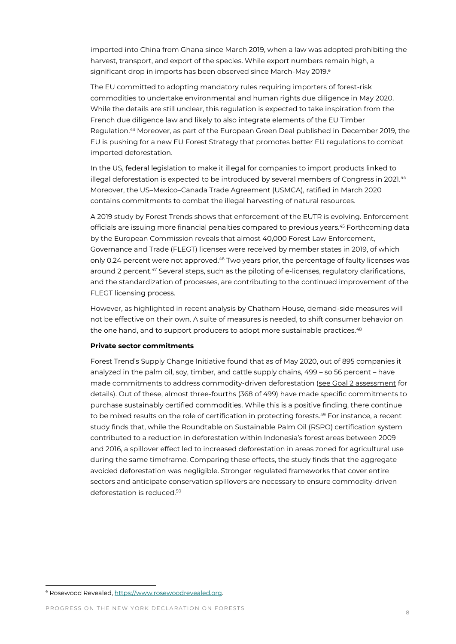imported into China from Ghana since March 2019, when a law was adopted prohibiting the harvest, transport, and export of the species. While export numbers remain high, a significant drop in imports has been observed since March-May 2019.<sup>e</sup>

The EU committed to adopting mandatory rules requiring importers of forest-risk commodities to undertake environmental and human rights due diligence in May 2020. While the details are still unclear, this regulation is expected to take inspiration from the French due diligence law and likely to also integrate elements of the EU Timber Regulation. <sup>43</sup> Moreover, as part of the European Green Deal published in December 2019, the EU is pushing for a new EU Forest Strategy that promotes better EU regulations to combat imported deforestation.

In the US, federal legislation to make it illegal for companies to import products linked to illegal deforestation is expected to be introduced by several members of Congress in 2021.<sup>44</sup> Moreover, the US–Mexico–Canada Trade Agreement (USMCA), ratified in March 2020 contains commitments to combat the illegal harvesting of natural resources.

A 2019 study by Forest Trends shows that enforcement of the EUTR is evolving. Enforcement officials are issuing more financial penalties compared to previous years.<sup>45</sup> Forthcoming data by the European Commission reveals that almost 40,000 Forest Law Enforcement, Governance and Trade (FLEGT) licenses were received by member states in 2019, of which only 0.24 percent were not approved.<sup>46</sup> Two years prior, the percentage of faulty licenses was around 2 percent.<sup>47</sup> Several steps, such as the piloting of e-licenses, regulatory clarifications, and the standardization of processes, are contributing to the continued improvement of the FLEGT licensing process.

However, as highlighted in recent analysis by Chatham House, demand-side measures will not be effective on their own. A suite of measures is needed, to shift consumer behavior on the one hand, and to support producers to adopt more sustainable practices. $^{48}$ 

#### **Private sector commitments**

Forest Trend's Supply Change Initiative found that as of May 2020, out of 895 companies it analyzed in the palm oil, soy, timber, and cattle supply chains, 499 – so 56 percent – have made commitments to address commodity-driven deforestation [\(see Goal 2 assessment](http://www.forestdeclaration.org/goals/goal-2) for details). Out of these, almost three-fourths (368 of 499) have made specific commitments to purchase sustainably certified commodities. While this is a positive finding, there continue to be mixed results on the role of certification in protecting forests.<sup>49</sup> For instance, a recent study finds that, while the Roundtable on Sustainable Palm Oil (RSPO) certification system contributed to a reduction in deforestation within Indonesia's forest areas between 2009 and 2016, a spillover effect led to increased deforestation in areas zoned for agricultural use during the same timeframe. Comparing these effects, the study finds that the aggregate avoided deforestation was negligible. Stronger regulated frameworks that cover entire sectors and anticipate conservation spillovers are necessary to ensure commodity-driven deforestation is reduced.<sup>50</sup>

<sup>e</sup> Rosewood Revealed, https://www.rosewoodrevealed.org.

PROGRESS ON THE NEW YORK DECLARATION ON FORESTS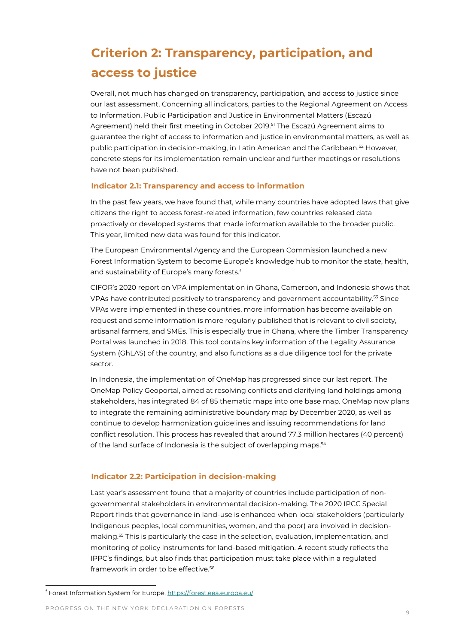### **Criterion 2: Transparency, participation, and access to justice**

Overall, not much has changed on transparency, participation, and access to justice since our last assessment. Concerning all indicators, parties to the Regional Agreement on Access to Information, Public Participation and Justice in Environmental Matters (Escazú Agreement) held their first meeting in October 2019.<sup>51</sup> The Escazú Agreement aims to guarantee the right of access to information and justice in environmental matters, as well as public participation in decision-making, in Latin American and the Caribbean.<sup>52</sup> However, concrete steps for its implementation remain unclear and further meetings or resolutions have not been published.

#### **Indicator 2.1: Transparency and access to information**

In the past few years, we have found that, while many countries have adopted laws that give citizens the right to access forest-related information, few countries released data proactively or developed systems that made information available to the broader public. This year, limited new data was found for this indicator.

The European Environmental Agency and the European Commission launched a new Forest Information System to become Europe's knowledge hub to monitor the state, health, and sustainability of Europe's many forests. f

CIFOR's 2020 report on VPA implementation in Ghana, Cameroon, and Indonesia shows that VPAs have contributed positively to transparency and government accountability.<sup>53</sup> Since VPAs were implemented in these countries, more information has become available on request and some information is more regularly published that is relevant to civil society, artisanal farmers, and SMEs. This is especially true in Ghana, where the Timber Transparency Portal was launched in 2018. This tool contains key information of the Legality Assurance System (GhLAS) of the country, and also functions as a due diligence tool for the private sector.

In Indonesia, the implementation of OneMap has progressed since our last report. The OneMap Policy Geoportal, aimed at resolving conflicts and clarifying land holdings among stakeholders, has integrated 84 of 85 thematic maps into one base map. OneMap now plans to integrate the remaining administrative boundary map by December 2020, as well as continue to develop harmonization guidelines and issuing recommendations for land conflict resolution. This process has revealed that around 77.3 million hectares (40 percent) of the land surface of Indonesia is the subject of overlapping maps.<sup>54</sup>

#### **Indicator 2.2: Participation in decision-making**

Last year's assessment found that a majority of countries include participation of nongovernmental stakeholders in environmental decision-making. The 2020 IPCC Special Report finds that governance in land-use is enhanced when local stakeholders (particularly Indigenous peoples, local communities, women, and the poor) are involved in decisionmaking.<sup>55</sup> This is particularly the case in the selection, evaluation, implementation, and monitoring of policy instruments for land-based mitigation. A recent study reflects the IPPC's findings, but also finds that participation must take place within a regulated framework in order to be effective.<sup>56</sup>

PROGRESS ON THE NEW YORK DECLARATION ON FORESTS

f Forest Information System for Europe, https://forest.eea.europa.eu/.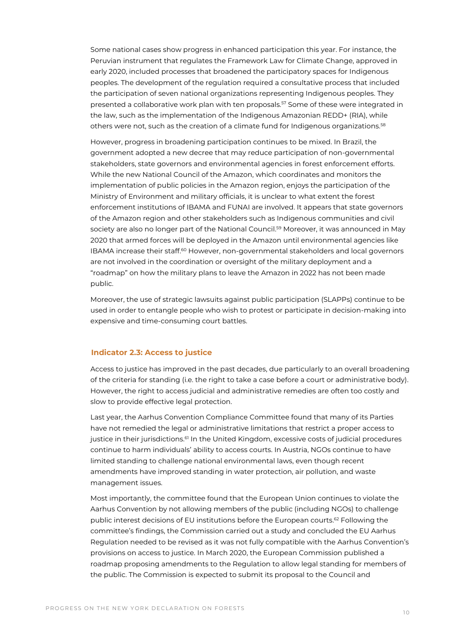Some national cases show progress in enhanced participation this year. For instance, the Peruvian instrument that regulates the Framework Law for Climate Change, approved in early 2020, included processes that broadened the participatory spaces for Indigenous peoples. The development of the regulation required a consultative process that included the participation of seven national organizations representing Indigenous peoples. They presented a collaborative work plan with ten proposals.<sup>57</sup> Some of these were integrated in the law, such as the implementation of the Indigenous Amazonian REDD+ (RIA), while others were not, such as the creation of a climate fund for Indigenous organizations.<sup>58</sup>

However, progress in broadening participation continues to be mixed. In Brazil, the government adopted a new decree that may reduce participation of non-governmental stakeholders, state governors and environmental agencies in forest enforcement efforts. While the new National Council of the Amazon, which coordinates and monitors the implementation of public policies in the Amazon region, enjoys the participation of the Ministry of Environment and military officials, it is unclear to what extent the forest enforcement institutions of IBAMA and FUNAI are involved. It appears that state governors of the Amazon region and other stakeholders such as Indigenous communities and civil society are also no longer part of the National Council. <sup>59</sup> Moreover, it was announced in May 2020 that armed forces will be deployed in the Amazon until environmental agencies like IBAMA increase their staff. $60$  However, non-governmental stakeholders and local governors are not involved in the coordination or oversight of the military deployment and a "roadmap" on how the military plans to leave the Amazon in 2022 has not been made public.

Moreover, the use of strategic lawsuits against public participation (SLAPPs) continue to be used in order to entangle people who wish to protest or participate in decision-making into expensive and time-consuming court battles.

#### **Indicator 2.3: Access to justice**

Access to justice has improved in the past decades, due particularly to an overall broadening of the criteria for standing (i.e. the right to take a case before a court or administrative body). However, the right to access judicial and administrative remedies are often too costly and slow to provide effective legal protection.

Last year, the Aarhus Convention Compliance Committee found that many of its Parties have not remedied the legal or administrative limitations that restrict a proper access to justice in their jurisdictions.<sup>61</sup> In the United Kingdom, excessive costs of judicial procedures continue to harm individuals' ability to access courts. In Austria, NGOs continue to have limited standing to challenge national environmental laws, even though recent amendments have improved standing in water protection, air pollution, and waste management issues.

Most importantly, the committee found that the European Union continues to violate the Aarhus Convention by not allowing members of the public (including NGOs) to challenge public interest decisions of EU institutions before the European courts. <sup>62</sup> Following the committee's findings, the Commission carried out a study and concluded the EU Aarhus Regulation needed to be revised as it was not fully compatible with the Aarhus Convention's provisions on access to justice. In March 2020, the European Commission published a roadmap proposing amendments to the Regulation to allow legal standing for members of the public. The Commission is expected to submit its proposal to the Council and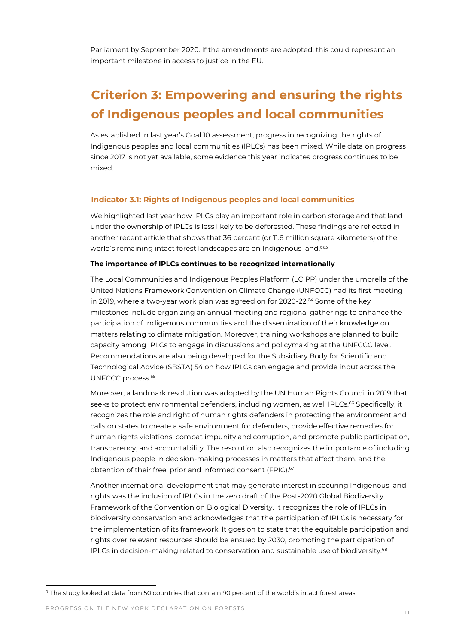Parliament by September 2020. If the amendments are adopted, this could represent an important milestone in access to justice in the EU.

### **Criterion 3: Empowering and ensuring the rights of Indigenous peoples and local communities**

As established in last year's Goal 10 assessment, progress in recognizing the rights of Indigenous peoples and local communities (IPLCs) has been mixed. While data on progress since 2017 is not yet available, some evidence this year indicates progress continues to be mixed.

#### **Indicator 3.1: Rights of Indigenous peoples and local communities**

We highlighted last year how IPLCs play an important role in carbon storage and that land under the ownership of IPLCs is less likely to be deforested. These findings are reflected in another recent article that shows that 36 percent (or 11.6 million square kilometers) of the world's remaining intact forest landscapes are on Indigenous land. g63

#### **The importance of IPLCs continues to be recognized internationally**

The Local Communities and Indigenous Peoples Platform (LCIPP) under the umbrella of the United Nations Framework Convention on Climate Change (UNFCCC) had its first meeting in 2019, where a two-year work plan was agreed on for 2020-22.<sup>64</sup> Some of the key milestones include organizing an annual meeting and regional gatherings to enhance the participation of Indigenous communities and the dissemination of their knowledge on matters relating to climate mitigation. Moreover, training workshops are planned to build capacity among IPLCs to engage in discussions and policymaking at the UNFCCC level. Recommendations are also being developed for the Subsidiary Body for Scientific and Technological Advice (SBSTA) 54 on how IPLCs can engage and provide input across the UNFCCC process.<sup>65</sup>

Moreover, a landmark resolution was adopted by the UN Human Rights Council in 2019 that seeks to protect environmental defenders, including women, as well IPLCs.<sup>66</sup> Specifically, it recognizes the role and right of human rights defenders in protecting the environment and calls on states to create a safe environment for defenders, provide effective remedies for human rights violations, combat impunity and corruption, and promote public participation, transparency, and accountability. The resolution also recognizes the importance of including Indigenous people in decision-making processes in matters that affect them, and the obtention of their free, prior and informed consent (FPIC).<sup>67</sup>

Another international development that may generate interest in securing Indigenous land rights was the inclusion of IPLCs in the zero draft of the Post-2020 Global Biodiversity Framework of the Convention on Biological Diversity. It recognizes the role of IPLCs in biodiversity conservation and acknowledges that the participation of IPLCs is necessary for the implementation of its framework. It goes on to state that the equitable participation and rights over relevant resources should be ensued by 2030, promoting the participation of IPLCs in decision-making related to conservation and sustainable use of biodiversity.<sup>68</sup>

<sup>&</sup>lt;sup>g</sup> The study looked at data from 50 countries that contain 90 percent of the world's intact forest areas.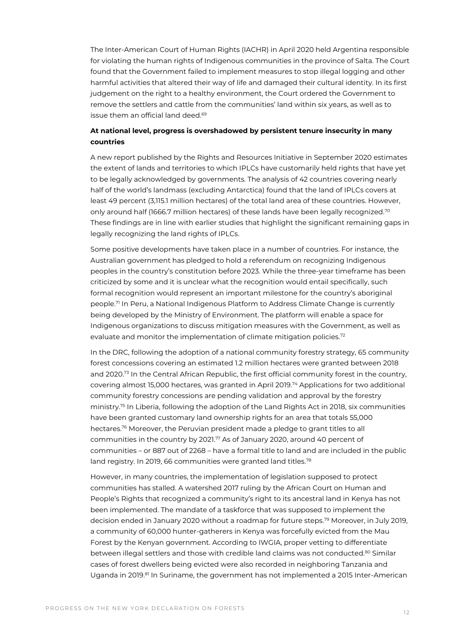The Inter-American Court of Human Rights (IACHR) in April 2020 held Argentina responsible for violating the human rights of Indigenous communities in the province of Salta. The Court found that the Government failed to implement measures to stop illegal logging and other harmful activities that altered their way of life and damaged their cultural identity. In its first judgement on the right to a healthy environment, the Court ordered the Government to remove the settlers and cattle from the communities' land within six years, as well as to issue them an official land deed.<sup>69</sup>

#### **At national level, progress is overshadowed by persistent tenure insecurity in many countries**

A new report published by the Rights and Resources Initiative in September 2020 estimates the extent of lands and territories to which IPLCs have customarily held rights that have yet to be legally acknowledged by governments. The analysis of 42 countries covering nearly half of the world's landmass (excluding Antarctica) found that the land of IPLCs covers at least 49 percent (3,115.1 million hectares) of the total land area of these countries. However, only around half (1666.7 million hectares) of these lands have been legally recognized.<sup>70</sup> These findings are in line with earlier studies that highlight the significant remaining gaps in legally recognizing the land rights of IPLCs.

Some positive developments have taken place in a number of countries. For instance, the Australian government has pledged to hold a referendum on recognizing Indigenous peoples in the country's constitution before 2023. While the three-year timeframe has been criticized by some and it is unclear what the recognition would entail specifically, such formal recognition would represent an important milestone for the country's aboriginal people.<sup>71</sup> In Peru, a National Indigenous Platform to Address Climate Change is currently being developed by the Ministry of Environment. The platform will enable a space for Indigenous organizations to discuss mitigation measures with the Government, as well as evaluate and monitor the implementation of climate mitigation policies.<sup>72</sup>

In the DRC, following the adoption of a national community forestry strategy, 65 community forest concessions covering an estimated 1.2 million hectares were granted between 2018 and 2020.<sup>73</sup> In the Central African Republic, the first official community forest in the country, covering almost 15,000 hectares, was granted in April 2019.<sup>74</sup> Applications for two additional community forestry concessions are pending validation and approval by the forestry ministry. <sup>75</sup> In Liberia, following the adoption of the Land Rights Act in 2018, six communities have been granted customary land ownership rights for an area that totals 55,000 hectares.<sup>76</sup> Moreover, the Peruvian president made a pledge to grant titles to all communities in the country by 2021.<sup>77</sup> As of January 2020, around 40 percent of communities – or 887 out of 2268 – have a formal title to land and are included in the public land registry. In 2019, 66 communities were granted land titles.<sup>78</sup>

However, in many countries, the implementation of legislation supposed to protect communities has stalled. A watershed 2017 ruling by the African Court on Human and People's Rights that recognized a community's right to its ancestral land in Kenya has not been implemented. The mandate of a taskforce that was supposed to implement the decision ended in January 2020 without a roadmap for future steps.<sup>79</sup> Moreover, in July 2019, a community of 60,000 hunter-gatherers in Kenya was forcefully evicted from the Mau Forest by the Kenyan government. According to IWGIA, proper vetting to differentiate between illegal settlers and those with credible land claims was not conducted.<sup>80</sup> Similar cases of forest dwellers being evicted were also recorded in neighboring Tanzania and Uganda in 2019.<sup>81</sup> In Suriname, the government has not implemented a 2015 Inter-American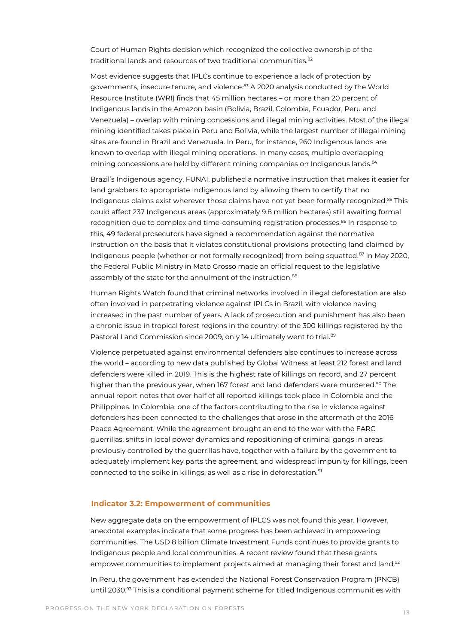Court of Human Rights decision which recognized the collective ownership of the traditional lands and resources of two traditional communities.<sup>82</sup>

Most evidence suggests that IPLCs continue to experience a lack of protection by governments, insecure tenure, and violence.<sup>83</sup> A 2020 analysis conducted by the World Resource Institute (WRI) finds that 45 million hectares – or more than 20 percent of Indigenous lands in the Amazon basin (Bolivia, Brazil, Colombia, Ecuador, Peru and Venezuela) – overlap with mining concessions and illegal mining activities. Most of the illegal mining identified takes place in Peru and Bolivia, while the largest number of illegal mining sites are found in Brazil and Venezuela. In Peru, for instance, 260 Indigenous lands are known to overlap with illegal mining operations. In many cases, multiple overlapping mining concessions are held by different mining companies on Indigenous lands.<sup>84</sup>

Brazil's Indigenous agency, FUNAI, published a normative instruction that makes it easier for land grabbers to appropriate Indigenous land by allowing them to certify that no Indigenous claims exist wherever those claims have not yet been formally recognized.<sup>85</sup> This could affect 237 Indigenous areas (approximately 9.8 million hectares) still awaiting formal recognition due to complex and time-consuming registration processes.<sup>86</sup> In response to this, 49 federal prosecutors have signed a recommendation against the normative instruction on the basis that it violates constitutional provisions protecting land claimed by Indigenous people (whether or not formally recognized) from being squatted.<sup>87</sup> In May 2020, the Federal Public Ministry in Mato Grosso made an official request to the legislative assembly of the state for the annulment of the instruction.<sup>88</sup>

Human Rights Watch found that criminal networks involved in illegal deforestation are also often involved in perpetrating violence against IPLCs in Brazil, with violence having increased in the past number of years. A lack of prosecution and punishment has also been a chronic issue in tropical forest regions in the country: of the 300 killings registered by the Pastoral Land Commission since 2009, only 14 ultimately went to trial.<sup>89</sup>

Violence perpetuated against environmental defenders also continues to increase across the world – according to new data published by Global Witness at least 212 forest and land defenders were killed in 2019. This is the highest rate of killings on record, and 27 percent higher than the previous year, when 167 forest and land defenders were murdered.<sup>90</sup> The annual report notes that over half of all reported killings took place in Colombia and the Philippines. In Colombia, one of the factors contributing to the rise in violence against defenders has been connected to the challenges that arose in the aftermath of the 2016 Peace Agreement. While the agreement brought an end to the war with the FARC guerrillas, shifts in local power dynamics and repositioning of criminal gangs in areas previously controlled by the guerrillas have, together with a failure by the government to adequately implement key parts the agreement, and widespread impunity for killings, been connected to the spike in killings, as well as a rise in deforestation.<sup>91</sup>

#### **Indicator 3.2: Empowerment of communities**

New aggregate data on the empowerment of IPLCS was not found this year. However, anecdotal examples indicate that some progress has been achieved in empowering communities. The USD 8 billion Climate Investment Funds continues to provide grants to Indigenous people and local communities. A recent review found that these grants empower communities to implement projects aimed at managing their forest and land.<sup>92</sup>

In Peru, the government has extended the National Forest Conservation Program (PNCB) until 2030. <sup>93</sup> This is a conditional payment scheme for titled Indigenous communities with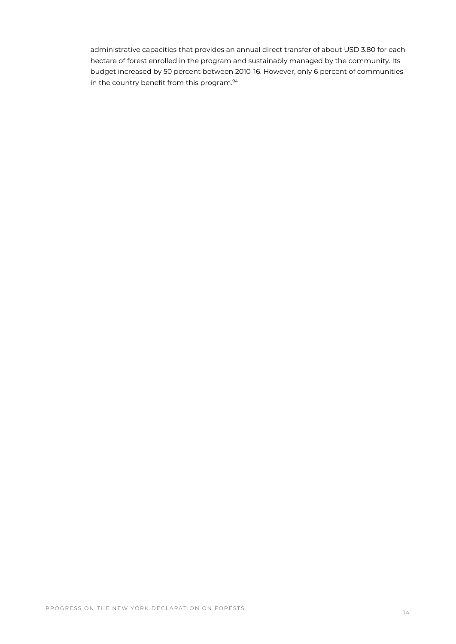administrative capacities that provides an annual direct transfer of about USD 3.80 for each hectare of forest enrolled in the program and sustainably managed by the community. Its budget increased by 50 percent between 2010-16. However, only 6 percent of communities in the country benefit from this program.<sup>94</sup>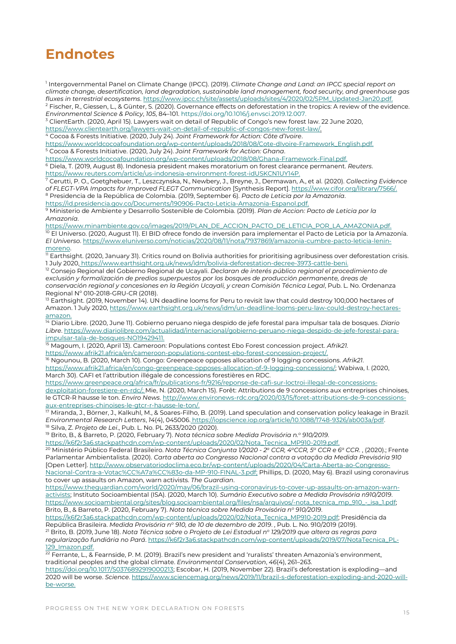### **Endnotes**

1 Intergovernmental Panel on Climate Change (IPCC). (2019). *Climate Change and Land: an IPCC special report on climate change, desertification, land degradation, sustainable land management, food security, and greenhouse gas fluxes in terrestrial ecosystems*. https://www.ipcc.ch/site/assets/uploads/sites/4/2020/02/SPM\_Updated-Jan20.pdf. <sup>2</sup> Fischer, R., Giessen, L., & Günter, S. (2020). Governance effects on deforestation in the tropics: A review of the evidence.

*Environmental Science & Policy*, *105*, 84–101. https://doi.org/10.1016/j.envsci.2019.12.007.

<sup>3</sup> ClientEarth. (2020, April 15). Lawyers wait on detail of Republic of Congo's new forest law. 22 June 2020, https://www.clientearth.org/lawyers-wait-on-detail-of-republic-of-congos-new-forest-law/.

<sup>4</sup> Cocoa & Forests Initiative. (2020, July 24). *Joint Framework for Action: Côte d'Ivoire*.

https://www.worldcocoafoundation.org/wp-content/uploads/2018/08/Cote-dIvoire-Framework\_English.pdf. <sup>5</sup> Cocoa & Forests Initiative. (2020, July 24). *Joint Framework for Action: Ghana*.

https://www.worldcocoafoundation.org/wp-content/uploads/2018/08/Ghana-Framework-Final.pdf.

<sup>6</sup> Diela, T. (2019, August 8). Indonesia president makes moratorium on forest clearance permanent. *Reuters*. https://www.reuters.com/article/us-indonesia-environment-forest-idUSKCN1UY14P.

<sup>7</sup> Cerutti, P. O., Goetghebuer, T., Leszczynska, N., Newbery, J., Breyne, J., Dermawan, A., et al. (2020). *Collecting Evidence of FLEGT-VPA Impacts for Improved FLEGT Communication* [Synthesis Report]. https://www.cifor.org/library/7566/. <sup>8</sup> Presidencia de la República de Colombia. (2019, September 6). *Pacto de Leticia por la Amazonía*.

https://id.presidencia.gov.co/Documents/190906-Pacto-Leticia-Amazonia-Espanol.pdf.

<sup>9</sup> Ministerio de Ambiente y Desarrollo Sostenible de Colombia. (2019). *Plan de Accion: Pacto de Leticia por la Amazonía*.

https://www.minambiente.gov.co/images/2019/PLAN\_DE\_ACCION\_PACTO\_DE\_LETICIA\_POR\_LA\_AMAZONIA.pdf. <sup>10</sup> El Universo. (2020, August 11). El BID ofrece fondo de inversión para implementar el Pacto de Leticia por la Amazonía. *El Universo*. https://www.eluniverso.com/noticias/2020/08/11/nota/7937869/amazonia-cumbre-pacto-leticia-leninmoreno.

 $\overline{11}$  Earthsight. (2020, January 31). Critics round on Bolivia authorities for prioritising agribusiness over deforestation crisis. 1 July 2020, https://www.earthsight.org.uk/news/idm/bolivia-deforestation-decree-3973-cattle-beni.

<sup>12</sup> Consejo Regional del Gobierno Regional de Ucayali. *Declaran de interés público regional el procedimiento de exclusión y formalización de predios superpuestos por los bosques de producción permanente, áreas de conservación regional y concesiones en la Región Ucayali, y crean Comisión Técnica Legal*, Pub. L. No. Ordenanza Regional Nº 010-2018-GRU-CR (2018).

<sup>13</sup> Earthsight. (2019, November 14). UN deadline looms for Peru to revisit law that could destroy 100,000 hectares of Amazon. 1 July 2020, https://www.earthsight.org.uk/news/idm/un-deadline-looms-peru-law-could-destroy-hectaresamazon.

<sup>14</sup> Diario Libre. (2020, June 11). Gobierno peruano niega despido de jefe forestal para impulsar tala de bosques. *Diario Libre*. https://www.diariolibre.com/actualidad/internacional/gobierno-peruano-niega-despido-de-jefe-forestal-paraimpulsar-tala-de-bosques-NO19429411.

<sup>15</sup> Magoum, I. (2020, April 13). Cameroon: Populations contest Ebo Forest concession project. *Afrik21*.

https://www.afrik21.africa/en/cameroon-populations-contest-ebo-forest-concession-project/.

<sup>16</sup> Ngounou, B. (2020, March 10). Congo: Greenpeace opposes allocation of 9 logging concessions. *Afrik21*. https://www.afrik21.africa/en/congo-greenpeace-opposes-allocation-of-9-logging-concessions/; Wabiwa, I. (2020, March 30). CAFI et l'attribution illégale de concessions forestières en RDC.

https://www.greenpeace.org/africa/fr/publications-fr/9216/reponse-de-cafi-sur-loctroi-illegal-de-concessionsdexploitation-forestiere-en-rdc/; Mie, N. (2020, March 15). Forêt: Attributions de 9 concessions aux entreprises chinoises, le GTCR-R hausse le ton. *Enviro News*. http://www.environews-rdc.org/2020/03/15/foret-attributions-de-9-concessionsaux-entreprises-chinoises-le-gtcr-r-hausse-le-ton/.<br>
Miranda J. Bärrer: 1976.

<sup>17</sup> Miranda, J., Börner, J., Kalkuhl, M., & Soares-Filho, B. (2019). Land speculation and conservation policy leakage in Brazil. *Environmental Research Letters*, *14*(4), 045006. [https://iopscience.iop.org/article/10.1088/1748-9326/ab003a/pdf.](https://iopscience.iop.org/article/10.1088/1748-9326/ab003a/pdf) <sup>18</sup> Silva, Z. *Projeto de Lei*., Pub. L. No. PL 2633/2020 (2020).

<sup>19</sup> Brito, B., & Barreto, P. (2020, February 7). *Nota técnica sobre Medida Provisória n.<sup>o</sup> 910/2019*.

https://k6f2r3a6.stackpathcdn.com/wp-content/uploads/2020/02/Nota\_Tecnica\_MP910-2019.pdf.

<sup>20</sup> Ministério Público Federal Brasileiro. *Nota Técnica Conjunta 1/2020 - 2 <sup>a</sup> CCR, 4<sup>a</sup>CCR, 5<sup>a</sup> CCR e 6<sup>a</sup> CCR*. , (2020).; Frente Parlamentar Ambientalista. (2020). *Carta aberta ao Congresso Nacional contra a votação da Medida Previsória 910* [Open Letter]. http://www.observatoriodoclima.eco.br/wp-content/uploads/2020/04/Carta-Aberta-ao-Congresso-Nacional-Contra-a-Votac%CC%A7a%CC%83o-da-MP-910-FINAL-3.pdf; Phillips, D. (2020, May 6). Brazil using coronavirus to cover up assaults on Amazon, warn activists. *The Guardian*.

https://www.theguardian.com/world/2020/may/06/brazil-using-coronavirus-to-cover-up-assaults-on-amazon-warnactivists; Instituto Socioambiental (ISA). (2020, March 10). *Sumário Executivo sobre a Medida Provisória n910/2019*. https://www.socioambiental.org/sites/blog.socioambiental.org/files/nsa/arquivos/-nota\_tecnica\_mp\_910\_-\_isa\_1.pdf; Brito, B., & Barreto, P. (2020, February 7). *Nota técnica sobre Medida Provisória n<sup>o</sup> 910/2019*.

https://k6f2r3a6.stackpathcdn.com/wp-content/uploads/2020/02/Nota\_Tecnica\_MP910-2019.pdf; Presidência da República Brasileira. *Medida Provisória n<sup>o</sup> 910, de 10 de dezembro de 2019*. , Pub. L. No. 910/2019 (2019).

<sup>21</sup> Brito, B. (2019, June 18). *Nota Técnica sobre o Projeto de Lei Estadual n<sup>o</sup> 129/2019 que altera as regras para regularização fundiária no Pará*. https://k6f2r3a6.stackpathcdn.com/wp-content/uploads/2019/07/NotaTecnica\_PL-129\_Imazon.pdf.

 $22$  Ferrante, L., & Fearnside, P. M. (2019). Brazil's new president and 'ruralists' threaten Amazonia's environment, traditional peoples and the global climate. *Environmental Conservation*, *46*(4), 261–263.

https://doi.org/10.1017/S0376892919000213; Escobar, H. (2019, November 22). Brazil's deforestation is exploding—and 2020 will be worse. *Science*. https://www.sciencemag.org/news/2019/11/brazil-s-deforestation-exploding-and-2020-willbe-worse.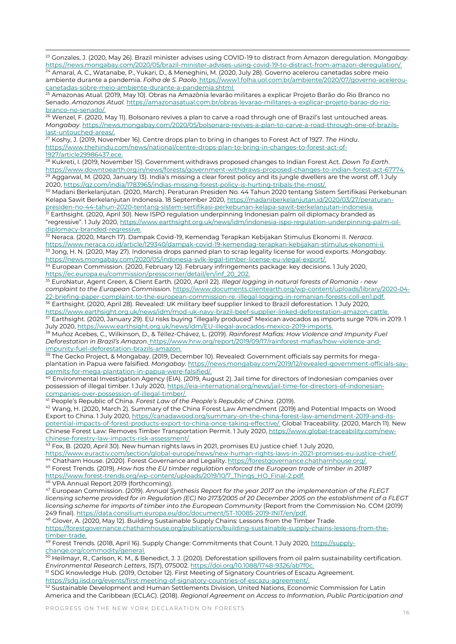<sup>23</sup> Gonzales, J. (2020, May 26). Brazil minister advises using COVID-19 to distract from Amazon deregulation. *Mongabay*. https://news.mongabay.com/2020/05/brazil-minister-advises-using-covid-19-to-distract-from-amazon-deregulation/<br><sup>24</sup> Amazal A.C. Watapaba, D. Wukari D. 8 Menoghia: M. (2000, 3th-20). Causes-using-covid-tract-from-amazon-der

<sup>24</sup> Amaral, A. C., Watanabe, P., Yukari, D., & Meneghini, M. (2020, July 28). Governo acelerou canetadas sobre meio ambiente durante a pandemia. *Folha de S. Paolo*. https://www1.folha.uol.com.br/ambiente/2020/07/governo-aceleroucanetadas-sobre-meio-ambiente-durante-a-pandemia.shtml.

<sup>25</sup> Amazonas Atual. (2019, May 10). Obras na Amazônia levarão militares a explicar Projeto Barão do Rio Branco no Senado. *Amazonas Atual*. https://amazonasatual.com.br/obras-levarao-militares-a-explicar-projeto-barao-do-rio $rac{b^2}{26}$  Menzol E (2020)

<sup>26</sup> Wenzel, F. (2020, May 11). Bolsonaro revives a plan to carve a road through one of Brazil's last untouched areas. *Mongabay*. https://news.mongabay.com/2020/05/bolsonaro-revives-a-plan-to-carve-a-road-through-one-of-brazilslast-untouched-areas/.

<sup>27</sup> Koshy, J. (2019, November 16). Centre drops plan to bring in changes to Forest Act of 1927. *The Hindu*. https://www.thehindu.com/news/national/centre-drops-plan-to-bring-in-changes-to-forest-act-of-1927/article29986437.ece.

<sup>28</sup> Kukreti, I. (2019, November 15). Government withdraws proposed changes to Indian Forest Act. *Down To Earth*. https://www.downtoearth.org.in/news/forests/government-withdraws-proposed-changes-to-indian-forest-act-67774. Aggarwal, M. (2020, January 13). India's missing a clear forest policy and its jungle dwellers are the worst off. 1 July 2020, https://qz.com/india/1783965/indias-missing-forest-policy-is-hurting-tribals-the-most/.

<sup>30</sup> Madani Berkelanjutan. (2020, March). Peraturan Presiden No. 44 Tahun 2020 tentang Sistem Sertifikasi Perkebunan Kelapa Sawit Berkelanjutan Indonesia. 18 September 2020, https://madaniberkelanjutan.id/2020/03/27/peraturanpresiden-no-44-tahun-2020-tentang-sistem-sertifikasi-perkebunan-kelapa-sawit-berkelanjutan-indonesia.

 $^{\rm 31}$  Earthsight. (2020, April 30). New ISPO regulation underpinning Indonesian palm oil diplomacy branded as "regressive". 1 July 2020, https://www.earthsight.org.uk/news/idm/indonesia-ispo-regulation-underpinning-palm-oildiplomacy-branded-regressive.

<sup>32</sup> Neraca. (2020, March 17). Dampak Covid-19, Kemendag Terapkan Kebijakan Stimulus Ekonomi II. *Neraca*. https://www.neraca.co.id/article/129340/dampak-covid-19-kemendag-terapkan-kebijakan-stimulus-ekonomi-ii. <sup>33</sup> Jong, H. N. (2020, May 27). Indonesia drops panned plan to scrap legality license for wood exports. *Mongabay*. https://news.mongabay.com/2020/05/indonesia-svlk-legal-timber-license-eu-vlegal-export/.

<sup>34</sup> European Commission. (2020, February 12). February infringements package: key decisions. 1 July 2020, https://ec.europa.eu/commission/presscorner/detail/en/inf\_20\_202.

<sup>35</sup> EuroNatur, Agent Green, & Client Earth. (2020, April 22). *Illegal logging in natural forests of Romania - new complaint to the European Commission*. https://www.documents.clientearth.org/wp-content/uploads/library/2020-04- 22-briefing-paper-complaint-to-the-european-commission-re.-illegal-logging-in-romanian-forests-coll-en1.pdf.  $\rm{^{36}}$  Earthsight. (2020, April 28). Revealed: UK military beef supplier linked to Brazil deforestation. 1 July 2020,

https://www.earthsight.org.uk/news/idm/mod-uk-navy-brazil-beef-supplier-linked-deforestation-amazon-cattle. <sup>37</sup> Earthsight. (2020, January 29). EU risks buying "illegally produced" Mexican avocados as imports surge 70% in 2019. 1 July 2020, https://www.earthsight.org.uk/news/idm/EU-illegal-avocados-mexico-2019-imports.

<sup>38</sup> Muñoz Acebes, C., Wilkinson, D., & Téllez-Chávez, L. (2019). *Rainforest Mafias: How Violence and Impunity Fuel Deforestation in Brazil's Amazon*. https://www.hrw.org/report/2019/09/17/rainforest-mafias/how-violence-andimpunity-fuel-deforestation-brazils-amazon.

<sup>39</sup> The Gecko Project, & Mongabay. (2019, December 10). Revealed: Government officials say permits for megaplantation in Papua were falsified. *Mongabay*. https://news.mongabay.com/2019/12/revealed-government-officials-saypermits-for-mega-plantation-in-papua-were-falsified/.

<sup>40</sup> Environmental Investigation Agency (EIA). (2019, August 2). Jail time for directors of Indonesian companies over possession of illegal timber. 1 July 2020, https://eia-international.org/news/jail-time-for-directors-of-indonesiancompanies-over-possession-of-illegal-timber/.

<sup>41</sup> People's Republic of China. *Forest Law of the People's Republic of China*. (2019).

<sup>42</sup> Wang, H. (2020, March 2). Summary of the China Forest Law Amendment (2019) and Potential Impacts on Wood Export to China. 1 July 2020, https://canadawood.org/summary-on-the-china-forest-law-amendment-2019-and-itspotential-impacts-of-forest-products-export-to-china-once-taking-effective/. Global Traceability. (2020, March 11). New Chinese Forest Law: Removes Timber Transportation Permit. 1 July 2020, https://www.global-traceability.com/newchinese-forestry-law-impacts-risk-assessment/.

 $^{43}$  Fox, B. (2020, April 30). New human rights laws in 2021, promises EU justice chief. 1 July 2020,

https://www.euractiv.com/section/global-europe/news/new-human-rights-laws-in-2021-promises-eu-justice-chief/. <sup>44</sup> Chatham House. (2020). Forest Governance and Legality. https://forestgovernance.chathamhouse.org/.

<sup>45</sup> Forest Trends. (2019). *How has the EU timber regulation enforced the European trade of timber in 2018?* https://www.forest-trends.org/wp-content/uploads/2019/10/7\_Things\_HO\_Final-2.pdf.

46 VPA Annual Report 2019 (forthcoming).

<sup>47</sup> European Commission. (2019). *Annual Synthesis Report for the year 2017 on the implementation of the FLEGT licensing scheme provided for in Regulation (EC) No 2173/2005 of 20 December 2005 on the establishment of a FLEGT licensing scheme for imports of timber into the European Community* (Report from the Commission No. COM (2019) 249 final). https://data.consilium.europa.eu/doc/document/ST-10085-2019-INIT/en/pdf.

<sup>48</sup> Glover, A. (2020, May 12). Building Sustainable Supply Chains: Lessons from the Timber Trade. https://forestgovernance.chathamhouse.org/publications/building-sustainable-supply-chains-lessons-from-thetimber-trade.

<sup>49</sup> Forest Trends. (2018, April 16). Supply Change: Commitments that Count. 1 July 2020, https://supplychange.org/commodity/general.

 $^{50}$  Heilmayr, R., Carlson, K. M., & Benedict, J. J. (2020). Deforestation spillovers from oil palm sustainability certification. *Environmental Research Letters*, *15*(7), 075002. https://doi.org/10.1088/1748-9326/ab7f0c.

<sup>51</sup> SDG Knowledge Hub. (2019, October 12). First Meeting of Signatory Countries of Escazu Agreement. https://sdg.iisd.org/events/first-meeting-of-signatory-countries-of-escazu-agreement/.

 $^{52}$  Sustainable Development and Human Settlements Division, United Nations, Economic Commission for Latin America and the Caribbean (ECLAC). (2018). *Regional Agreement on Access to Information, Public Participation and*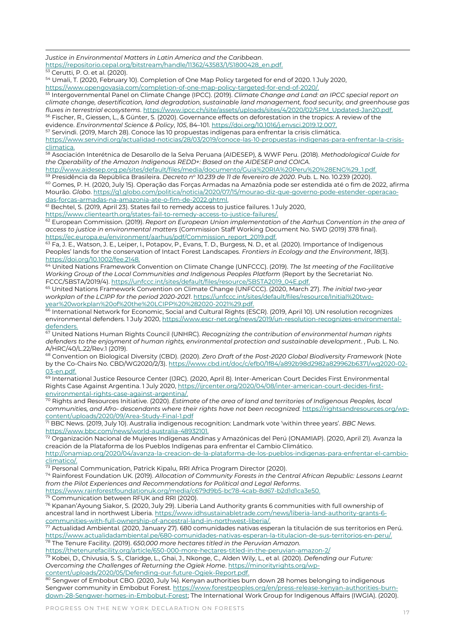*Justice in Environmental Matters in Latin America and the Caribbean*.

https://repositorio.cepal.org/bitstream/handle/11362/43583/1/S1800428\_en.pdf.

<sup>53</sup> Cerutti, P. O. et al. (2020).

<sup>54</sup> Umali, T. (2020, February 10). Completion of One Map Policy targeted for end of 2020. 1 July 2020, https://www.opengovasia.com/completion-of-one-map-policy-targeted-for-end-of-2020/.

<sup>55</sup> Intergovernmental Panel on Climate Change (IPCC). (2019). *Climate Change and Land: an IPCC special report on climate change, desertification, land degradation, sustainable land management, food security, and greenhouse gas fluxes in terrestrial ecosystems*. https://www.ipcc.ch/site/assets/uploads/sites/4/2020/02/SPM\_Updated-Jan20.pdf. Fischer, R., Giessen, L., & Günter, S. (2020). Governance effects on deforestation in the tropics: A review of the

evidence. *Environmental Science & Policy*, *105*, 84–101. https://doi.org/10.1016/j.envsci.2019.12.007. <sup>57</sup> Servindi. (2019, March 28). Conoce las 10 propuestas indígenas para enfrentar la crisis climática.

https://www.servindi.org/actualidad-noticias/28/03/2019/conoce-las-10-propuestas-indigenas-para-enfrentar-la-crisisclimatica.

<sup>58</sup> Asociación Interétnica de Desarollo de la Selva Peruana (AIDESEP), & WWF Peru. (2018). *Methodological Guide for the Operability of the Amazon Indigenous REDD+: Based on the AIDESEP and COICA*.

http://www.aidesep.org.pe/sites/default/files/media/documento/Guia%20RIA%20Peru%20%28ENG%29\_1.pdf. <sup>59</sup> Presidência da República Brasileira. *Decreto n<sup>o</sup> 10.239 de 11 de fevereiro de 2020*. Pub. L. No. 10.239 (2020).

<sup>60</sup> Gomes, P. H. (2020, July 15). Operação das Forças Armadas na Amazônia pode ser estendida até o fim de 2022, afirma Mourão. *Globo*. https://g1.globo.com/politica/noticia/2020/07/15/mourao-diz-que-governo-pode-estender-operacaodas-forcas-armadas-na-amazonia-ate-o-fim-de-2022.ghtml.

<sup>61</sup> Bechtel, S. (2019, April 23). States fail to remedy access to justice failures. 1 July 2020,

https://www.clientearth.org/states-fail-to-remedy-access-to-justice-failures/.

<sup>62</sup> European Commission. (2019). *Report on European Union implementation of the Aarhus Convention in the area of access to justice in environmental matters* (Commission Staff Working Document No. SWD (2019) 378 final). https://ec.europa.eu/environment/aarhus/pdf/Commission\_report\_2019.pdf.

63 Fa, J. E., Watson, J. E., Leiper, I., Potapov, P., Evans, T. D., Burgess, N. D., et al. (2020). Importance of Indigenous Peoples' lands for the conservation of Intact Forest Landscapes. *Frontiers in Ecology and the Environment*, *18*(3). https://doi.org/10.1002/fee.2148.

<sup>64</sup> United Nations Framework Convention on Climate Change (UNFCCC). (2019). *The 1st meeting of the Facilitative Working Group of the Local Communities and Indigenous Peoples Platform* (Report by the Secretariat No. FCCC/SBSTA/2019/4). https://unfccc.int/sites/default/files/resource/SBSTA2019\_04E.pdf.

<sup>65</sup> United Nations Framework Convention on Climate Change (UNFCCC). (2020, March 27). *The initial two-year workplan of the LCIPP for the period 2020-2021*. https://unfccc.int/sites/default/files/resource/Initial%20twoyear%20workplan%20of%20the%20LCIPP%20%282020-2021%29.pdf.

66 International Network for Economic, Social and Cultural Rights (ESCR). (2019, April 10). UN resolution recognizes environmental defenders. 1 July 2020, https://www.escr-net.org/news/2019/un-resolution-recognizes-environmentaldefenders.

<sup>67</sup> United Nations Human Rights Council (UNHRC). *Recognizing the contribution of environmental human rights defenders to the enjoyment of human rights, environmental protection and sustainable development*. , Pub. L. No. A/HRC/40/L.22/Rev.1 (2019).

<sup>68</sup> Convention on Biological Diversity (CBD). (2020). *Zero Draft of the Post-2020 Global Biodiversity Framework* (Note by the Co-Chairs No. CBD/WG2020/2/3). https://www.cbd.int/doc/c/efb0/1f84/a892b98d2982a829962b6371/wg2020-02- 03-en.pdf.

69 International Justice Resource Center (IJRC). (2020, April 8). Inter-American Court Decides First Environmental Rights Case Against Argentina. 1 July 2020, https://ijrcenter.org/2020/04/08/inter-american-court-decides-firstenvironmental-rights-case-against-argentina/.

<sup>70</sup> Rights and Resources Initiative. (2020). *Estimate of the area of land and territories of Indigenous Peoples, local communities, and Afro- descendants where their rights have not been recognized.* https://rightsandresources.org/wpcontent/uploads/2020/09/Area-Study-Final-1.pdf

<sup>71</sup> BBC News. (2019, July 10). Australia indigenous recognition: Landmark vote 'within three years'. *BBC News*. https://www.bbc.com/news/world-australia-48932101.

<sup>72</sup> Organización Nacional de Mujeres Indígenas Andinas y Amazónicas del Perú (ONAMIAP). (2020, April 21). Avanza la creación de la Plataforma de los Pueblos Indígenas para enfrentar el Cambio Climático.

http://onamiap.org/2020/04/avanza-la-creacion-de-la-plataforma-de-los-pueblos-indigenas-para-enfrentar-el-cambioclimatico/.

 $^{73}$  Personal Communication, Patrick Kipalu, RRI Africa Program Director (2020).

<sup>74</sup> Rainforest Foundation UK. (2019). *Allocation of Community Forests in the Central African Republic: Lessons Learnt from the Pilot Experiences and Recommendations for Political and Legal Reforms*.

https://www.rainforestfoundationuk.org/media/c679d9b5-bc78-4cab-8d67-b2d1d1ca3e50.

<sup>75</sup> Communication between RFUK and RRI (2020).

 $76$  Kpanan'Ayoung Siakor, S. (2020, July 29). Liberia Land Authority grants 6 communities with full ownership of ancestral land in northwest Liberia. https://www.idhsustainabletrade.com/news/liberia-land-authority-grants-6 communities-with-full-ownership-of-ancestral-land-in-northwest-liberia/.

Actualidad Ambiental. (2020, January 27). 680 comunidades nativas esperan la titulación de sus territorios en Perú. https://www.actualidadambiental.pe/680-comunidades-nativas-esperan-la-titulacion-de-sus-territorios-en-peru/. <sup>78</sup> The Tenure Facility. (2019). *650,000 more hectares titled in the Peruvian Amazon.*

https://thetenurefacility.org/article/650-000-more-hectares-titled-in-the-peruvian-amazon-2/

<sup>79</sup> Kobei, D., Chivusia, S. S., Claridge, L., Ghai, J., Nkonge, C., Alden Wily, L., et al. (2020). *Defending our Future: Overcoming the Challenges of Returning the Ogiek Home*. https://minorityrights.org/wpcontent/uploads/2020/05/Defending-our-future-Ogiek-Report.pdf.

Sengwer of Embobut CBO. (2020, July 14). Kenyan authorities burn down 28 homes belonging to indigenous Sengwer community in Embobut Forest. https://www.forestpeoples.org/en/press-release-kenyan-authorities-burndown-28-Sengwer-homes-in-Embobut-Forest; The International Work Group for Indigenous Affairs (IWGIA). (2020).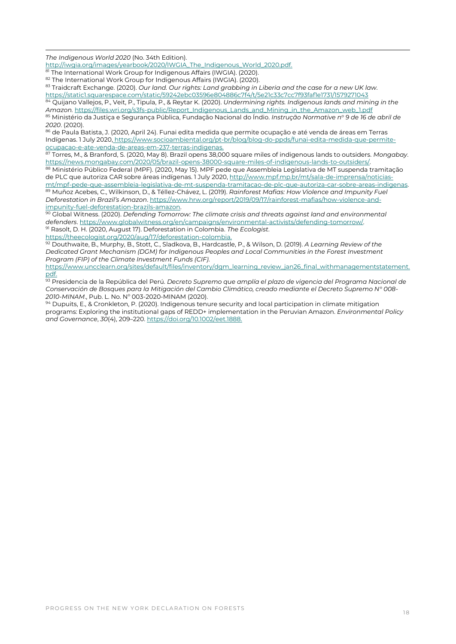*The Indigenous World 2020* (No. 34th Edition).

http://iwgia.org/images/yearbook/2020/IWGIA\_The\_Indigenous\_World\_2020.pdf.

The International Work Group for Indigenous Affairs (IWGIA). (2020).

82 The International Work Group for Indigenous Affairs (IWGIA). (2020).

<sup>83</sup> Traidcraft Exchange. (2020). *Our land. Our rights: Land grabbing in Liberia and the case for a new UK law*. https://static1.squarespace.com/static/59242ebc03596e804886c7f4/t/5e21c33c7cc7f93faf1e1731/1579271043

<sup>84</sup> Quijano Vallejos, P., Veit, P., Tipula, P., & Reytar K. (2020). *Undermining rights. Indigenous lands and mining in the Amazon.* https://files.wri.org/s3fs-public/Report\_Indigenous\_Lands\_and\_Mining\_in\_the\_Amazon\_web\_1.pdf <sup>85</sup> Ministério da Justiça e Segurança Pública, Fundação Nacional do Índio. *Instrução Normative n<sup>o</sup> 9 de 16 de abril de 2020*. (2020).

<sup>86</sup> de Paula Batista, J. (2020, April 24). Funai edita medida que permite ocupação e até venda de áreas em Terras Indígenas. 1 July 2020, https://www.socioambiental.org/pt-br/blog/blog-do-ppds/funai-edita-medida-que-permiteocupacao-e-ate-venda-de-areas-em-237-terras-indigenas.

<sup>87</sup> Torres, M., & Branford, S. (2020, May 8). Brazil opens 38,000 square miles of indigenous lands to outsiders. *Mongabay*. https://news.mongabay.com/2020/05/brazil-opens-38000-square-miles-of-indigenous-lands-to-outsiders/.

88 Ministério Público Federal (MPF). (2020, May 15). MPF pede que Assembleia Legislativa de MT suspenda tramitação de PLC que autoriza CAR sobre áreas indígenas. 1 July 2020, http://www.mpf.mp.br/mt/sala-de-imprensa/noticiasmt/mpf-pede-que-assembleia-legislativa-de-mt-suspenda-tramitacao-de-plc-que-autoriza-car-sobre-areas-indigenas.

<sup>89</sup> Muñoz Acebes, C., Wilkinson, D., & Téllez-Chávez, L. (2019). *Rainforest Mafias: How Violence and Impunity Fuel Deforestation in Brazil's Amazon*. https://www.hrw.org/report/2019/09/17/rainforest-mafias/how-violence-andimpunity-fuel-deforestation-brazils-amazon.

<sup>90</sup> Global Witness. (2020). *Defending Tomorrow: The climate crisis and threats against land and environmental defenders*. https://www.globalwitness.org/en/campaigns/environmental-activists/defending-tomorrow/. <sup>91</sup> Rasolt, D. H. (2020, August 17). Deforestation in Colombia. *The Ecologist*.

https://theecologist.org/2020/aug/17/deforestation-colombia.

<sup>92</sup> Douthwaite, B., Murphy, B., Stott, C., Sladkova, B., Hardcastle, P., & Wilson, D. (2019). *A Learning Review of the Dedicated Grant Mechanism (DGM) for Indigenous Peoples and Local Communities in the Forest Investment Program (FIP) of the Climate Investment Funds (CIF)*.

https://www.uncclearn.org/sites/default/files/inventory/dgm\_learning\_review\_jan26\_final\_withmanagementstatement. pdf.

<sup>93</sup> Presidencia de la República del Perú. *Decreto Supremo que amplía el plazo de vigencia del Programa Nacional de Conservación de Bosques para la Mitigación del Cambio Climático, creado mediante el Decreto Supremo N° 008-* 2010-MINAM., Pub. L. No. Nº 003-2020-MINAM (2020).

<sup>94</sup> Dupuits, E., & Cronkleton, P. (2020). Indigenous tenure security and local participation in climate mitigation programs: Exploring the institutional gaps of REDD+ implementation in the Peruvian Amazon. *Environmental Policy and Governance*, *30*(4), 209–220. https://doi.org/10.1002/eet.1888.